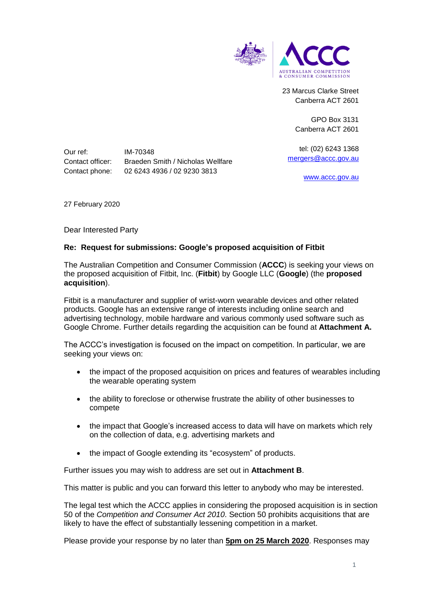

23 Marcus Clarke Street Canberra ACT 2601

> GPO Box 3131 Canberra ACT 2601

tel: (02) 6243 1368 [mergers@accc.gov.au](mailto:mergers@accc.gov.au)

[www.accc.gov.au](http://www.accc.gov.au/)

Our ref: IM-70348 Contact officer: Braeden Smith / Nicholas Wellfare Contact phone: 02 6243 4936 / 02 9230 3813

27 February 2020

Dear Interested Party

## **Re: Request for submissions: Google's proposed acquisition of Fitbit**

The Australian Competition and Consumer Commission (**ACCC**) is seeking your views on the proposed acquisition of Fitbit, Inc. (**Fitbit**) by Google LLC (**Google**) (the **proposed acquisition**).

Fitbit is a manufacturer and supplier of wrist-worn wearable devices and other related products. Google has an extensive range of interests including online search and advertising technology, mobile hardware and various commonly used software such as Google Chrome. Further details regarding the acquisition can be found at **Attachment A.**

The ACCC's investigation is focused on the impact on competition. In particular, we are seeking your views on:

- the impact of the proposed acquisition on prices and features of wearables including the wearable operating system
- the ability to foreclose or otherwise frustrate the ability of other businesses to compete
- the impact that Google's increased access to data will have on markets which rely on the collection of data, e.g. advertising markets and
- the impact of Google extending its "ecosystem" of products.

Further issues you may wish to address are set out in **Attachment B**.

This matter is public and you can forward this letter to anybody who may be interested.

The legal test which the ACCC applies in considering the proposed acquisition is in section 50 of the *Competition and Consumer Act 2010*. Section 50 prohibits acquisitions that are likely to have the effect of substantially lessening competition in a market.

Please provide your response by no later than **5pm on 25 March 2020**. Responses may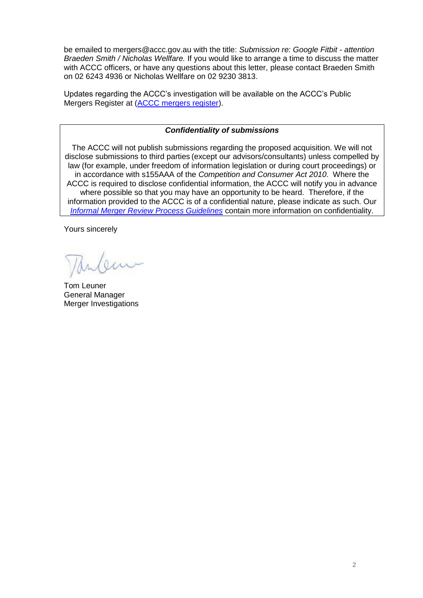be emailed to mergers@accc.gov.au with the title: *Submission re: Google Fitbit - attention Braeden Smith / Nicholas Wellfare.* If you would like to arrange a time to discuss the matter with ACCC officers, or have any questions about this letter, please contact Braeden Smith on 02 6243 4936 or Nicholas Wellfare on 02 9230 3813.

Updates regarding the ACCC's investigation will be available on the ACCC's Public Mergers Register at [\(ACCC mergers register\)](http://www.accc.gov.au/mergersregister).

# *Confidentiality of submissions*

The ACCC will not publish submissions regarding the proposed acquisition. We will not disclose submissions to third parties (except our advisors/consultants) unless compelled by law (for example, under freedom of information legislation or during court proceedings) or in accordance with s155AAA of the *Competition and Consumer Act 2010*. Where the ACCC is required to disclose confidential information, the ACCC will notify you in advance where possible so that you may have an opportunity to be heard. Therefore, if the information provided to the ACCC is of a confidential nature, please indicate as such. Our *[Informal Merger Review Process Guidelines](https://www.accc.gov.au/publications/informal-merger-review-process-guidelines-2013)* contain more information on confidentiality.

Yours sincerely

lam

Tom Leuner General Manager Merger Investigations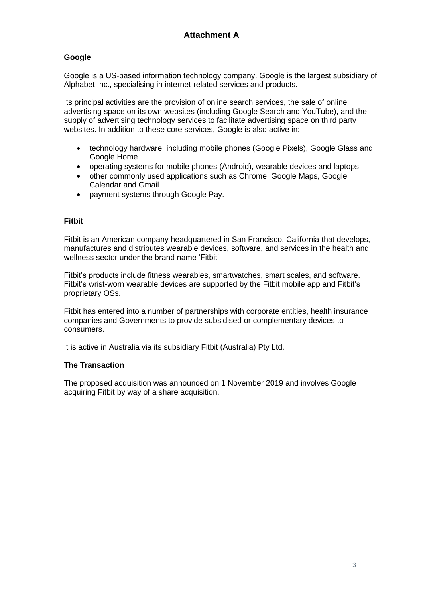# **Google**

Google is a US-based information technology company. Google is the largest subsidiary of Alphabet Inc., specialising in internet-related services and products.

Its principal activities are the provision of online search services, the sale of online advertising space on its own websites (including Google Search and YouTube), and the supply of advertising technology services to facilitate advertising space on third party websites. In addition to these core services. Google is also active in:

- technology hardware, including mobile phones (Google Pixels), Google Glass and Google Home
- operating systems for mobile phones (Android), wearable devices and laptops
- other commonly used applications such as Chrome, Google Maps, Google Calendar and Gmail
- payment systems through Google Pay.

## **Fitbit**

Fitbit is an American company headquartered in San Francisco, California that develops, manufactures and distributes wearable devices, software, and services in the health and wellness sector under the brand name 'Fitbit'

Fitbit's products include fitness wearables, smartwatches, smart scales, and software. Fitbit's wrist-worn wearable devices are supported by the Fitbit mobile app and Fitbit's proprietary OSs.

Fitbit has entered into a number of partnerships with corporate entities, health insurance companies and Governments to provide subsidised or complementary devices to consumers.

It is active in Australia via its subsidiary Fitbit (Australia) Pty Ltd.

#### **The Transaction**

The proposed acquisition was announced on 1 November 2019 and involves Google acquiring Fitbit by way of a share acquisition.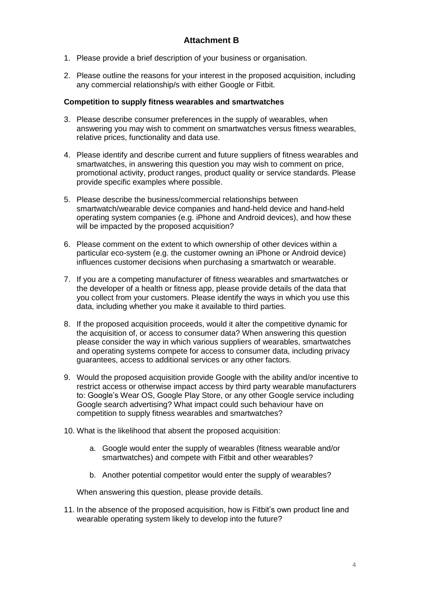- 1. Please provide a brief description of your business or organisation.
- 2. Please outline the reasons for your interest in the proposed acquisition, including any commercial relationship/s with either Google or Fitbit.

# **Competition to supply fitness wearables and smartwatches**

- 3. Please describe consumer preferences in the supply of wearables, when answering you may wish to comment on smartwatches versus fitness wearables, relative prices, functionality and data use.
- 4. Please identify and describe current and future suppliers of fitness wearables and smartwatches, in answering this question you may wish to comment on price, promotional activity, product ranges, product quality or service standards. Please provide specific examples where possible.
- 5. Please describe the business/commercial relationships between smartwatch/wearable device companies and hand-held device and hand-held operating system companies (e.g. iPhone and Android devices), and how these will be impacted by the proposed acquisition?
- 6. Please comment on the extent to which ownership of other devices within a particular eco-system (e.g. the customer owning an iPhone or Android device) influences customer decisions when purchasing a smartwatch or wearable.
- 7. If you are a competing manufacturer of fitness wearables and smartwatches or the developer of a health or fitness app, please provide details of the data that you collect from your customers. Please identify the ways in which you use this data, including whether you make it available to third parties.
- 8. If the proposed acquisition proceeds, would it alter the competitive dynamic for the acquisition of, or access to consumer data? When answering this question please consider the way in which various suppliers of wearables, smartwatches and operating systems compete for access to consumer data, including privacy guarantees, access to additional services or any other factors.
- 9. Would the proposed acquisition provide Google with the ability and/or incentive to restrict access or otherwise impact access by third party wearable manufacturers to: Google's Wear OS, Google Play Store, or any other Google service including Google search advertising? What impact could such behaviour have on competition to supply fitness wearables and smartwatches?
- 10. What is the likelihood that absent the proposed acquisition:
	- a. Google would enter the supply of wearables (fitness wearable and/or smartwatches) and compete with Fitbit and other wearables?
	- b. Another potential competitor would enter the supply of wearables?

When answering this question, please provide details.

11. In the absence of the proposed acquisition, how is Fitbit's own product line and wearable operating system likely to develop into the future?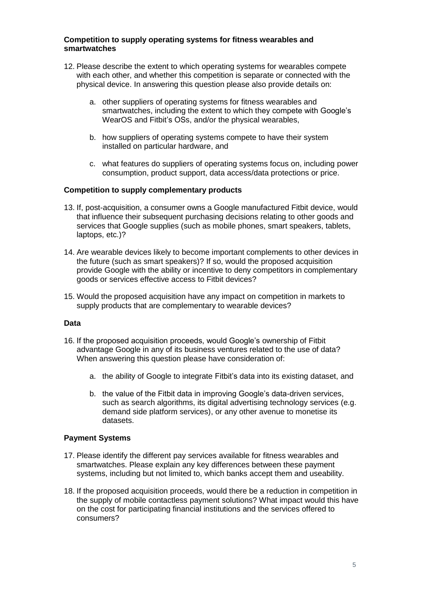## **Competition to supply operating systems for fitness wearables and smartwatches**

- 12. Please describe the extent to which operating systems for wearables compete with each other, and whether this competition is separate or connected with the physical device. In answering this question please also provide details on:
	- a. other suppliers of operating systems for fitness wearables and smartwatches, including the extent to which they compete with Google's WearOS and Fitbit's OSs, and/or the physical wearables,
	- b. how suppliers of operating systems compete to have their system installed on particular hardware, and
	- c. what features do suppliers of operating systems focus on, including power consumption, product support, data access/data protections or price.

## **Competition to supply complementary products**

- 13. If, post-acquisition, a consumer owns a Google manufactured Fitbit device, would that influence their subsequent purchasing decisions relating to other goods and services that Google supplies (such as mobile phones, smart speakers, tablets, laptops, etc.)?
- 14. Are wearable devices likely to become important complements to other devices in the future (such as smart speakers)? If so, would the proposed acquisition provide Google with the ability or incentive to deny competitors in complementary goods or services effective access to Fitbit devices?
- 15. Would the proposed acquisition have any impact on competition in markets to supply products that are complementary to wearable devices?

#### **Data**

- 16. If the proposed acquisition proceeds, would Google's ownership of Fitbit advantage Google in any of its business ventures related to the use of data? When answering this question please have consideration of:
	- a. the ability of Google to integrate Fitbit's data into its existing dataset, and
	- b. the value of the Fitbit data in improving Google's data-driven services, such as search algorithms, its digital advertising technology services (e.g. demand side platform services), or any other avenue to monetise its datasets.

#### **Payment Systems**

- 17. Please identify the different pay services available for fitness wearables and smartwatches. Please explain any key differences between these payment systems, including but not limited to, which banks accept them and useability.
- 18. If the proposed acquisition proceeds, would there be a reduction in competition in the supply of mobile contactless payment solutions? What impact would this have on the cost for participating financial institutions and the services offered to consumers?